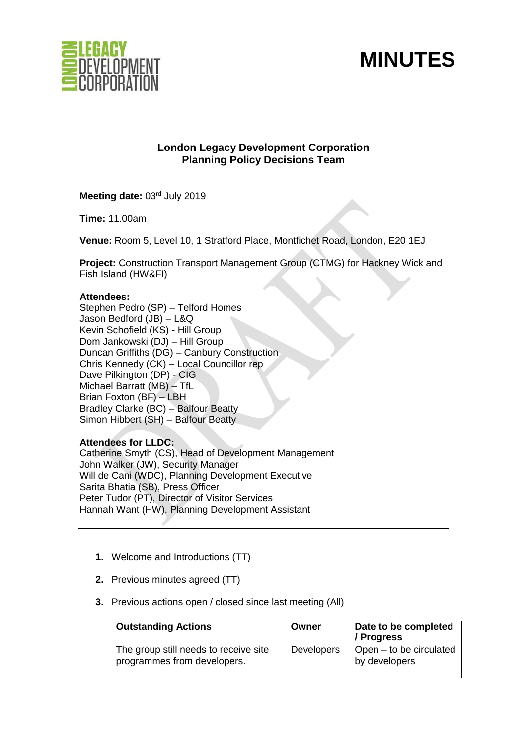

# **MINUTES**

## **London Legacy Development Corporation Planning Policy Decisions Team**

Meeting date: 03rd July 2019

**Time:** 11.00am

**Venue:** Room 5, Level 10, 1 Stratford Place, Montfichet Road, London, E20 1EJ

**Project:** Construction Transport Management Group (CTMG) for Hackney Wick and Fish Island (HW&FI)

#### **Attendees:**

Stephen Pedro (SP) – Telford Homes Jason Bedford (JB) – L&Q Kevin Schofield (KS) - Hill Group Dom Jankowski (DJ) – Hill Group Duncan Griffiths (DG) – Canbury Construction Chris Kennedy (CK) – Local Councillor rep Dave Pilkington (DP) - CIG Michael Barratt (MB) – TfL Brian Foxton (BF) – LBH Bradley Clarke (BC) – Balfour Beatty Simon Hibbert (SH) – Balfour Beatty

## **Attendees for LLDC:**

Catherine Smyth (CS), Head of Development Management John Walker (JW), Security Manager Will de Cani (WDC), Planning Development Executive Sarita Bhatia (SB), Press Officer Peter Tudor (PT), Director of Visitor Services Hannah Want (HW), Planning Development Assistant

- **1.** Welcome and Introductions (TT)
- **2.** Previous minutes agreed (TT)
- **3.** Previous actions open / closed since last meeting (All)

| <b>Outstanding Actions</b>                                           | Owner             | Date to be completed<br>/ Progress       |
|----------------------------------------------------------------------|-------------------|------------------------------------------|
| The group still needs to receive site<br>programmes from developers. | <b>Developers</b> | Open – to be circulated<br>by developers |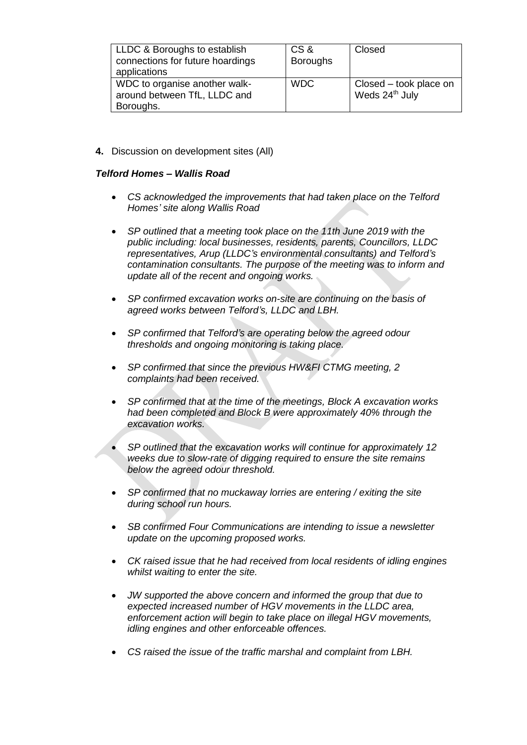| LLDC & Boroughs to establish     | CS&             | Closed                 |
|----------------------------------|-----------------|------------------------|
| connections for future hoardings | <b>Boroughs</b> |                        |
| applications                     |                 |                        |
| WDC to organise another walk-    | <b>WDC</b>      | Closed – took place on |
| around between TfL, LLDC and     |                 | Weds 24th July         |
| Boroughs.                        |                 |                        |

**4.** Discussion on development sites (All)

## *Telford Homes – Wallis Road*

- *CS acknowledged the improvements that had taken place on the Telford Homes' site along Wallis Road*
- *SP outlined that a meeting took place on the 11th June 2019 with the public including: local businesses, residents, parents, Councillors, LLDC representatives, Arup (LLDC's environmental consultants) and Telford's contamination consultants. The purpose of the meeting was to inform and update all of the recent and ongoing works.*
- *SP confirmed excavation works on-site are continuing on the basis of agreed works between Telford's, LLDC and LBH.*
- *SP confirmed that Telford's are operating below the agreed odour thresholds and ongoing monitoring is taking place.*
- *SP confirmed that since the previous HW&FI CTMG meeting, 2 complaints had been received.*
- *SP confirmed that at the time of the meetings, Block A excavation works had been completed and Block B were approximately 40% through the excavation works.*
- *SP outlined that the excavation works will continue for approximately 12 weeks due to slow-rate of digging required to ensure the site remains below the agreed odour threshold.*
- *SP confirmed that no muckaway lorries are entering / exiting the site during school run hours.*
- *SB confirmed Four Communications are intending to issue a newsletter update on the upcoming proposed works.*
- *CK raised issue that he had received from local residents of idling engines whilst waiting to enter the site.*
- *JW supported the above concern and informed the group that due to expected increased number of HGV movements in the LLDC area, enforcement action will begin to take place on illegal HGV movements, idling engines and other enforceable offences.*
- *CS raised the issue of the traffic marshal and complaint from LBH.*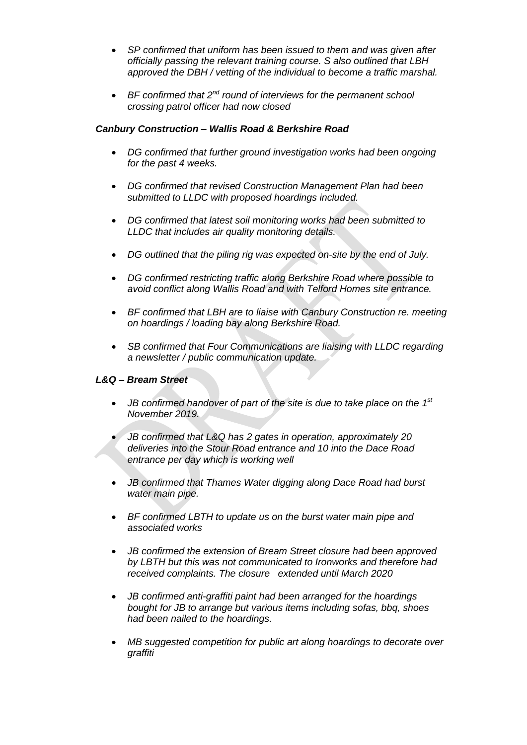- *SP confirmed that uniform has been issued to them and was given after officially passing the relevant training course. S also outlined that LBH approved the DBH / vetting of the individual to become a traffic marshal.*
- BF confirmed that 2<sup>nd</sup> round of interviews for the permanent school *crossing patrol officer had now closed*

## *Canbury Construction – Wallis Road & Berkshire Road*

- *DG confirmed that further ground investigation works had been ongoing for the past 4 weeks.*
- *DG confirmed that revised Construction Management Plan had been submitted to LLDC with proposed hoardings included.*
- *DG confirmed that latest soil monitoring works had been submitted to LLDC that includes air quality monitoring details.*
- *DG outlined that the piling rig was expected on-site by the end of July.*
- *DG confirmed restricting traffic along Berkshire Road where possible to avoid conflict along Wallis Road and with Telford Homes site entrance.*
- *BF confirmed that LBH are to liaise with Canbury Construction re. meeting on hoardings / loading bay along Berkshire Road.*
- *SB confirmed that Four Communications are liaising with LLDC regarding a newsletter / public communication update.*

## *L&Q – Bream Street*

- JB confirmed handover of part of the site is due to take place on the 1<sup>st</sup> *November 2019.*
- *JB confirmed that L&Q has 2 gates in operation, approximately 20 deliveries into the Stour Road entrance and 10 into the Dace Road entrance per day which is working well*
- *JB confirmed that Thames Water digging along Dace Road had burst water main pipe.*
- *BF confirmed LBTH to update us on the burst water main pipe and associated works*
- *JB confirmed the extension of Bream Street closure had been approved by LBTH but this was not communicated to Ironworks and therefore had received complaints. The closure extended until March 2020*
- *JB confirmed anti-graffiti paint had been arranged for the hoardings bought for JB to arrange but various items including sofas, bbq, shoes had been nailed to the hoardings.*
- *MB suggested competition for public art along hoardings to decorate over graffiti*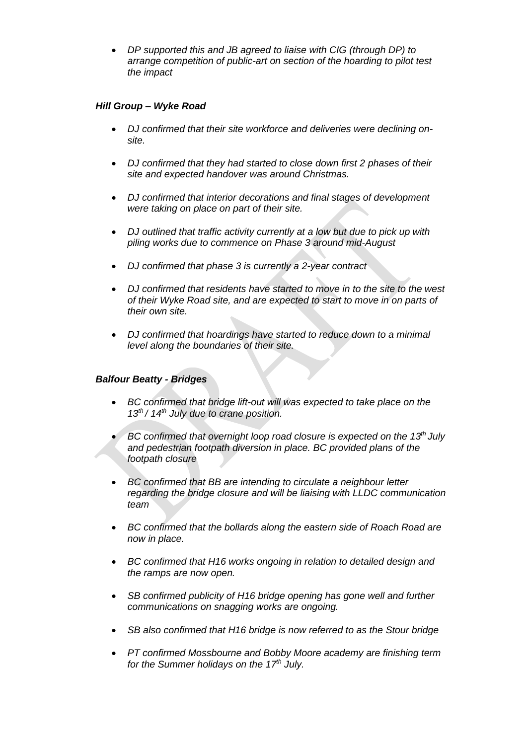• *DP supported this and JB agreed to liaise with CIG (through DP) to arrange competition of public-art on section of the hoarding to pilot test the impact*

## *Hill Group – Wyke Road*

- *DJ confirmed that their site workforce and deliveries were declining onsite.*
- *DJ confirmed that they had started to close down first 2 phases of their site and expected handover was around Christmas.*
- *DJ confirmed that interior decorations and final stages of development were taking on place on part of their site.*
- *DJ outlined that traffic activity currently at a low but due to pick up with piling works due to commence on Phase 3 around mid-August*
- *DJ confirmed that phase 3 is currently a 2-year contract*
- *DJ confirmed that residents have started to move in to the site to the west of their Wyke Road site, and are expected to start to move in on parts of their own site.*
- *DJ confirmed that hoardings have started to reduce down to a minimal level along the boundaries of their site.*

## *Balfour Beatty - Bridges*

- *BC confirmed that bridge lift-out will was expected to take place on the 13th / 14th July due to crane position.*
- *BC confirmed that overnight loop road closure is expected on the 13th July and pedestrian footpath diversion in place. BC provided plans of the footpath closure*
- *BC confirmed that BB are intending to circulate a neighbour letter regarding the bridge closure and will be liaising with LLDC communication team*
- *BC confirmed that the bollards along the eastern side of Roach Road are now in place.*
- *BC confirmed that H16 works ongoing in relation to detailed design and the ramps are now open.*
- *SB confirmed publicity of H16 bridge opening has gone well and further communications on snagging works are ongoing.*
- *SB also confirmed that H16 bridge is now referred to as the Stour bridge*
- *PT confirmed Mossbourne and Bobby Moore academy are finishing term for the Summer holidays on the 17th July.*